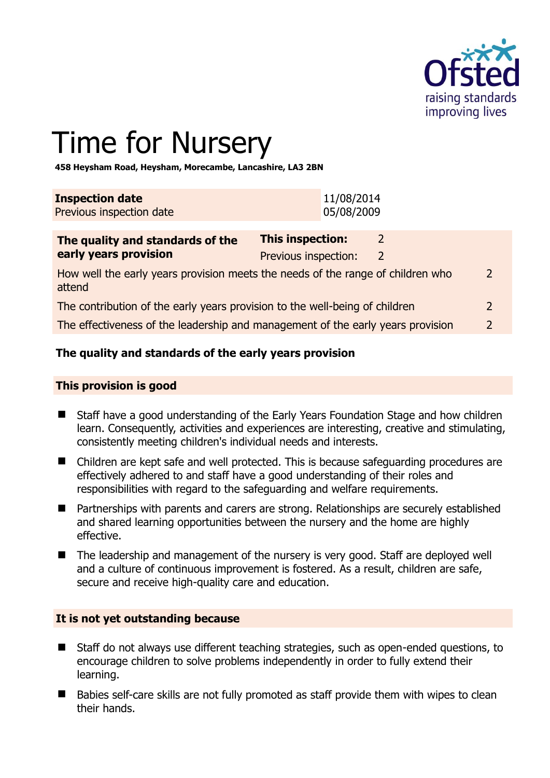

# Time for Nursery

**458 Heysham Road, Heysham, Morecambe, Lancashire, LA3 2BN** 

| <b>Inspection date</b><br>Previous inspection date |  | 11/08/2014<br>05/08/2009 |  |
|----------------------------------------------------|--|--------------------------|--|
|                                                    |  |                          |  |
|                                                    |  |                          |  |

| The quality and standards of the                                                          | <b>This inspection:</b> |               |               |
|-------------------------------------------------------------------------------------------|-------------------------|---------------|---------------|
| early years provision                                                                     | Previous inspection:    | $\mathcal{L}$ |               |
| How well the early years provision meets the needs of the range of children who<br>attend |                         |               | $\mathcal{L}$ |
| The contribution of the early years provision to the well-being of children               |                         |               |               |
| The effectiveness of the leadership and management of the early years provision           |                         |               |               |

# **The quality and standards of the early years provision**

#### **This provision is good**

- Staff have a good understanding of the Early Years Foundation Stage and how children learn. Consequently, activities and experiences are interesting, creative and stimulating, consistently meeting children's individual needs and interests.
- Children are kept safe and well protected. This is because safeguarding procedures are effectively adhered to and staff have a good understanding of their roles and responsibilities with regard to the safeguarding and welfare requirements.
- Partnerships with parents and carers are strong. Relationships are securely established and shared learning opportunities between the nursery and the home are highly effective.
- The leadership and management of the nursery is very good. Staff are deployed well and a culture of continuous improvement is fostered. As a result, children are safe, secure and receive high-quality care and education.

#### **It is not yet outstanding because**

- Staff do not always use different teaching strategies, such as open-ended questions, to encourage children to solve problems independently in order to fully extend their learning.
- Babies self-care skills are not fully promoted as staff provide them with wipes to clean their hands.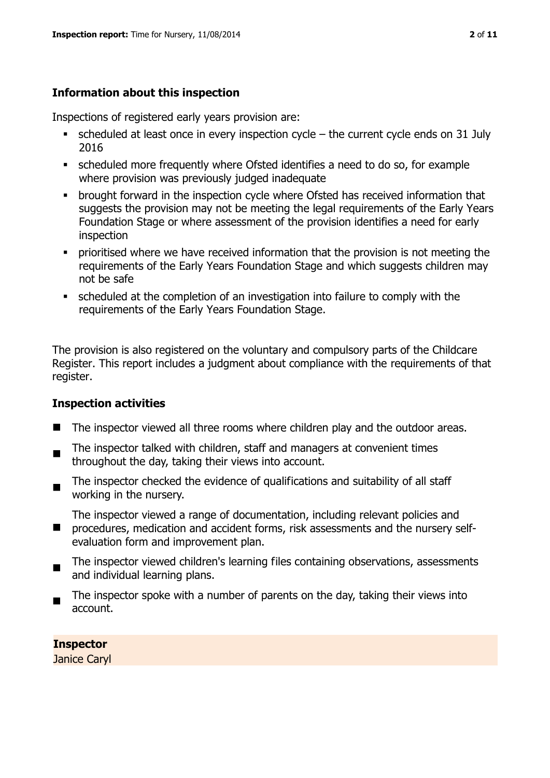# **Information about this inspection**

Inspections of registered early years provision are:

- $\bullet$  scheduled at least once in every inspection cycle the current cycle ends on 31 July 2016
- scheduled more frequently where Ofsted identifies a need to do so, for example where provision was previously judged inadequate
- **•** brought forward in the inspection cycle where Ofsted has received information that suggests the provision may not be meeting the legal requirements of the Early Years Foundation Stage or where assessment of the provision identifies a need for early inspection
- **•** prioritised where we have received information that the provision is not meeting the requirements of the Early Years Foundation Stage and which suggests children may not be safe
- scheduled at the completion of an investigation into failure to comply with the requirements of the Early Years Foundation Stage.

The provision is also registered on the voluntary and compulsory parts of the Childcare Register. This report includes a judgment about compliance with the requirements of that register.

# **Inspection activities**

- The inspector viewed all three rooms where children play and the outdoor areas.
- . The inspector talked with children, staff and managers at convenient times throughout the day, taking their views into account.
- The inspector checked the evidence of qualifications and suitability of all staff working in the nursery.

The inspector viewed a range of documentation, including relevant policies and

- $\blacksquare$ procedures, medication and accident forms, risk assessments and the nursery selfevaluation form and improvement plan.
- $\blacksquare$ The inspector viewed children's learning files containing observations, assessments and individual learning plans.
- The inspector spoke with a number of parents on the day, taking their views into account.

**Inspector**  Janice Caryl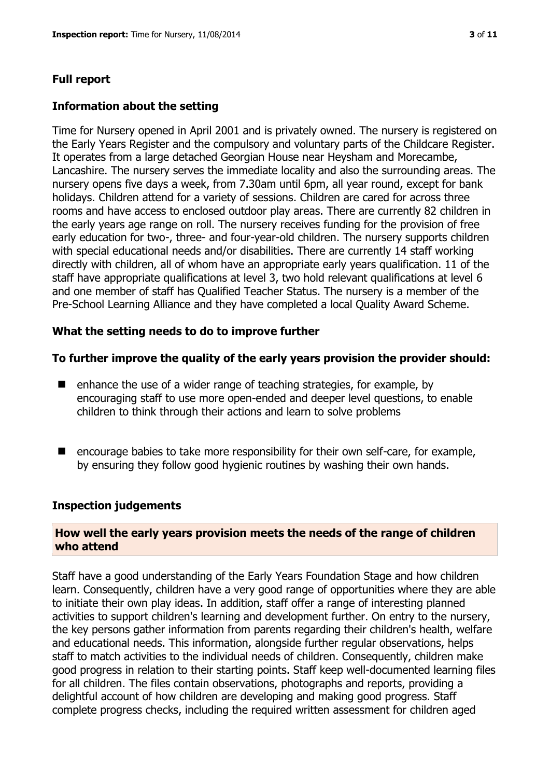#### **Full report**

#### **Information about the setting**

Time for Nursery opened in April 2001 and is privately owned. The nursery is registered on the Early Years Register and the compulsory and voluntary parts of the Childcare Register. It operates from a large detached Georgian House near Heysham and Morecambe, Lancashire. The nursery serves the immediate locality and also the surrounding areas. The nursery opens five days a week, from 7.30am until 6pm, all year round, except for bank holidays. Children attend for a variety of sessions. Children are cared for across three rooms and have access to enclosed outdoor play areas. There are currently 82 children in the early years age range on roll. The nursery receives funding for the provision of free early education for two-, three- and four-year-old children. The nursery supports children with special educational needs and/or disabilities. There are currently 14 staff working directly with children, all of whom have an appropriate early years qualification. 11 of the staff have appropriate qualifications at level 3, two hold relevant qualifications at level 6 and one member of staff has Qualified Teacher Status. The nursery is a member of the Pre-School Learning Alliance and they have completed a local Quality Award Scheme.

#### **What the setting needs to do to improve further**

#### **To further improve the quality of the early years provision the provider should:**

- $\blacksquare$  enhance the use of a wider range of teaching strategies, for example, by encouraging staff to use more open-ended and deeper level questions, to enable children to think through their actions and learn to solve problems
- $\blacksquare$  encourage babies to take more responsibility for their own self-care, for example, by ensuring they follow good hygienic routines by washing their own hands.

#### **Inspection judgements**

#### **How well the early years provision meets the needs of the range of children who attend**

Staff have a good understanding of the Early Years Foundation Stage and how children learn. Consequently, children have a very good range of opportunities where they are able to initiate their own play ideas. In addition, staff offer a range of interesting planned activities to support children's learning and development further. On entry to the nursery, the key persons gather information from parents regarding their children's health, welfare and educational needs. This information, alongside further regular observations, helps staff to match activities to the individual needs of children. Consequently, children make good progress in relation to their starting points. Staff keep well-documented learning files for all children. The files contain observations, photographs and reports, providing a delightful account of how children are developing and making good progress. Staff complete progress checks, including the required written assessment for children aged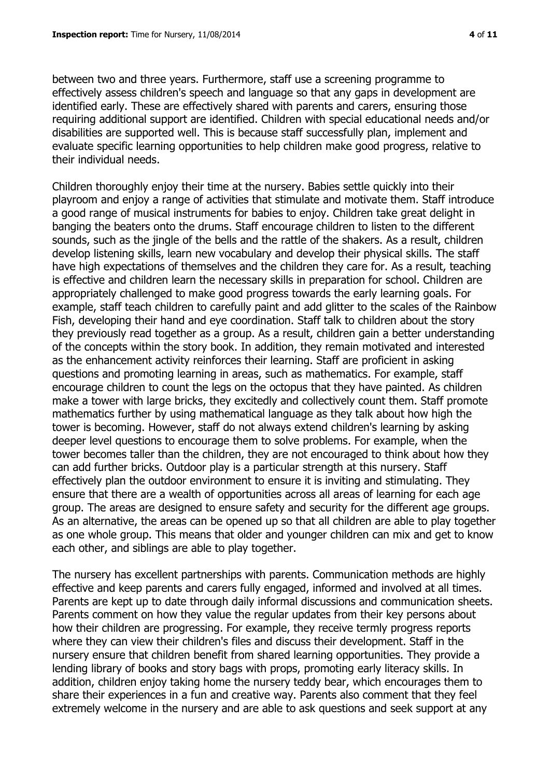between two and three years. Furthermore, staff use a screening programme to effectively assess children's speech and language so that any gaps in development are identified early. These are effectively shared with parents and carers, ensuring those requiring additional support are identified. Children with special educational needs and/or disabilities are supported well. This is because staff successfully plan, implement and evaluate specific learning opportunities to help children make good progress, relative to their individual needs.

Children thoroughly enjoy their time at the nursery. Babies settle quickly into their playroom and enjoy a range of activities that stimulate and motivate them. Staff introduce a good range of musical instruments for babies to enjoy. Children take great delight in banging the beaters onto the drums. Staff encourage children to listen to the different sounds, such as the jingle of the bells and the rattle of the shakers. As a result, children develop listening skills, learn new vocabulary and develop their physical skills. The staff have high expectations of themselves and the children they care for. As a result, teaching is effective and children learn the necessary skills in preparation for school. Children are appropriately challenged to make good progress towards the early learning goals. For example, staff teach children to carefully paint and add glitter to the scales of the Rainbow Fish, developing their hand and eye coordination. Staff talk to children about the story they previously read together as a group. As a result, children gain a better understanding of the concepts within the story book. In addition, they remain motivated and interested as the enhancement activity reinforces their learning. Staff are proficient in asking questions and promoting learning in areas, such as mathematics. For example, staff encourage children to count the legs on the octopus that they have painted. As children make a tower with large bricks, they excitedly and collectively count them. Staff promote mathematics further by using mathematical language as they talk about how high the tower is becoming. However, staff do not always extend children's learning by asking deeper level questions to encourage them to solve problems. For example, when the tower becomes taller than the children, they are not encouraged to think about how they can add further bricks. Outdoor play is a particular strength at this nursery. Staff effectively plan the outdoor environment to ensure it is inviting and stimulating. They ensure that there are a wealth of opportunities across all areas of learning for each age group. The areas are designed to ensure safety and security for the different age groups. As an alternative, the areas can be opened up so that all children are able to play together as one whole group. This means that older and younger children can mix and get to know each other, and siblings are able to play together.

The nursery has excellent partnerships with parents. Communication methods are highly effective and keep parents and carers fully engaged, informed and involved at all times. Parents are kept up to date through daily informal discussions and communication sheets. Parents comment on how they value the regular updates from their key persons about how their children are progressing. For example, they receive termly progress reports where they can view their children's files and discuss their development. Staff in the nursery ensure that children benefit from shared learning opportunities. They provide a lending library of books and story bags with props, promoting early literacy skills. In addition, children enjoy taking home the nursery teddy bear, which encourages them to share their experiences in a fun and creative way. Parents also comment that they feel extremely welcome in the nursery and are able to ask questions and seek support at any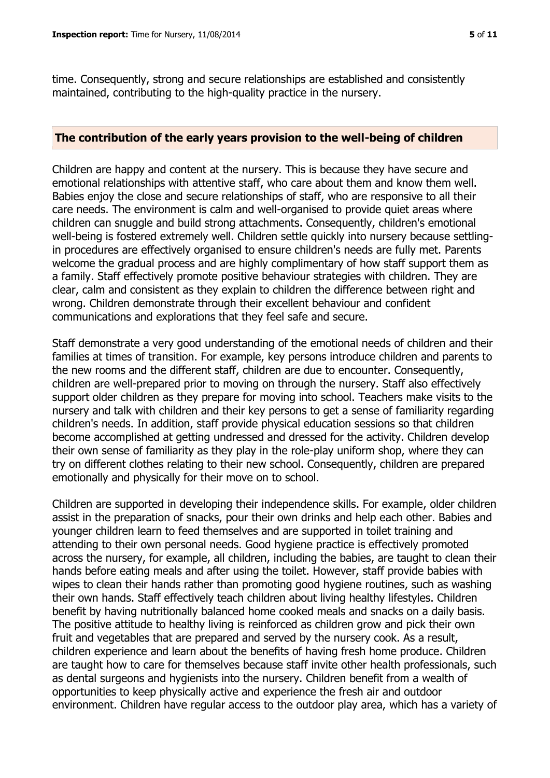time. Consequently, strong and secure relationships are established and consistently maintained, contributing to the high-quality practice in the nursery.

#### **The contribution of the early years provision to the well-being of children**

Children are happy and content at the nursery. This is because they have secure and emotional relationships with attentive staff, who care about them and know them well. Babies enjoy the close and secure relationships of staff, who are responsive to all their care needs. The environment is calm and well-organised to provide quiet areas where children can snuggle and build strong attachments. Consequently, children's emotional well-being is fostered extremely well. Children settle quickly into nursery because settlingin procedures are effectively organised to ensure children's needs are fully met. Parents welcome the gradual process and are highly complimentary of how staff support them as a family. Staff effectively promote positive behaviour strategies with children. They are clear, calm and consistent as they explain to children the difference between right and wrong. Children demonstrate through their excellent behaviour and confident communications and explorations that they feel safe and secure.

Staff demonstrate a very good understanding of the emotional needs of children and their families at times of transition. For example, key persons introduce children and parents to the new rooms and the different staff, children are due to encounter. Consequently, children are well-prepared prior to moving on through the nursery. Staff also effectively support older children as they prepare for moving into school. Teachers make visits to the nursery and talk with children and their key persons to get a sense of familiarity regarding children's needs. In addition, staff provide physical education sessions so that children become accomplished at getting undressed and dressed for the activity. Children develop their own sense of familiarity as they play in the role-play uniform shop, where they can try on different clothes relating to their new school. Consequently, children are prepared emotionally and physically for their move on to school.

Children are supported in developing their independence skills. For example, older children assist in the preparation of snacks, pour their own drinks and help each other. Babies and younger children learn to feed themselves and are supported in toilet training and attending to their own personal needs. Good hygiene practice is effectively promoted across the nursery, for example, all children, including the babies, are taught to clean their hands before eating meals and after using the toilet. However, staff provide babies with wipes to clean their hands rather than promoting good hygiene routines, such as washing their own hands. Staff effectively teach children about living healthy lifestyles. Children benefit by having nutritionally balanced home cooked meals and snacks on a daily basis. The positive attitude to healthy living is reinforced as children grow and pick their own fruit and vegetables that are prepared and served by the nursery cook. As a result, children experience and learn about the benefits of having fresh home produce. Children are taught how to care for themselves because staff invite other health professionals, such as dental surgeons and hygienists into the nursery. Children benefit from a wealth of opportunities to keep physically active and experience the fresh air and outdoor environment. Children have regular access to the outdoor play area, which has a variety of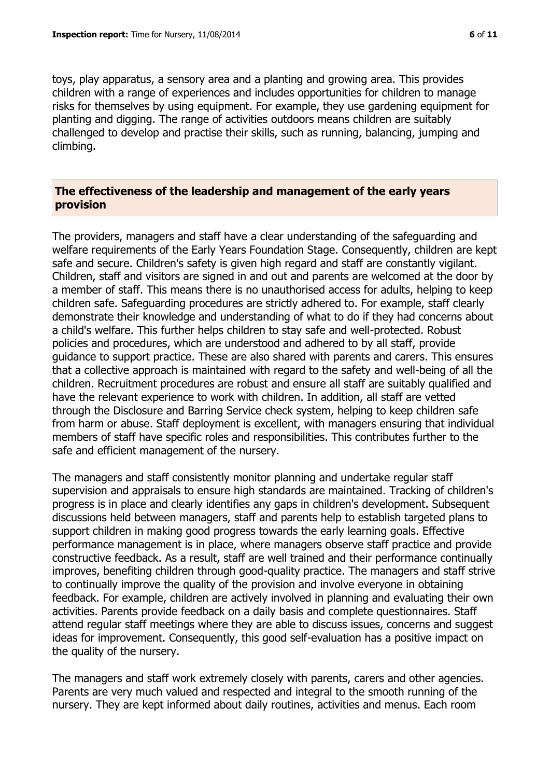toys, play apparatus, a sensory area and a planting and growing area. This provides children with a range of experiences and includes opportunities for children to manage risks for themselves by using equipment. For example, they use gardening equipment for planting and digging. The range of activities outdoors means children are suitably challenged to develop and practise their skills, such as running, balancing, jumping and climbing.

#### **The effectiveness of the leadership and management of the early years provision**

The providers, managers and staff have a clear understanding of the safeguarding and welfare requirements of the Early Years Foundation Stage. Consequently, children are kept safe and secure. Children's safety is given high regard and staff are constantly vigilant. Children, staff and visitors are signed in and out and parents are welcomed at the door by a member of staff. This means there is no unauthorised access for adults, helping to keep children safe. Safeguarding procedures are strictly adhered to. For example, staff clearly demonstrate their knowledge and understanding of what to do if they had concerns about a child's welfare. This further helps children to stay safe and well-protected. Robust policies and procedures, which are understood and adhered to by all staff, provide guidance to support practice. These are also shared with parents and carers. This ensures that a collective approach is maintained with regard to the safety and well-being of all the children. Recruitment procedures are robust and ensure all staff are suitably qualified and have the relevant experience to work with children. In addition, all staff are vetted through the Disclosure and Barring Service check system, helping to keep children safe from harm or abuse. Staff deployment is excellent, with managers ensuring that individual members of staff have specific roles and responsibilities. This contributes further to the safe and efficient management of the nursery.

The managers and staff consistently monitor planning and undertake regular staff supervision and appraisals to ensure high standards are maintained. Tracking of children's progress is in place and clearly identifies any gaps in children's development. Subsequent discussions held between managers, staff and parents help to establish targeted plans to support children in making good progress towards the early learning goals. Effective performance management is in place, where managers observe staff practice and provide constructive feedback. As a result, staff are well trained and their performance continually improves, benefiting children through good-quality practice. The managers and staff strive to continually improve the quality of the provision and involve everyone in obtaining feedback. For example, children are actively involved in planning and evaluating their own activities. Parents provide feedback on a daily basis and complete questionnaires. Staff attend regular staff meetings where they are able to discuss issues, concerns and suggest ideas for improvement. Consequently, this good self-evaluation has a positive impact on the quality of the nursery.

The managers and staff work extremely closely with parents, carers and other agencies. Parents are very much valued and respected and integral to the smooth running of the nursery. They are kept informed about daily routines, activities and menus. Each room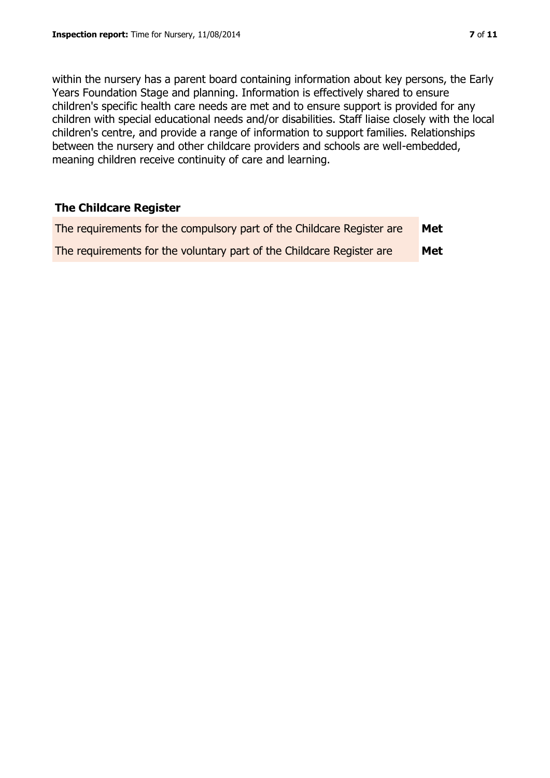within the nursery has a parent board containing information about key persons, the Early Years Foundation Stage and planning. Information is effectively shared to ensure children's specific health care needs are met and to ensure support is provided for any children with special educational needs and/or disabilities. Staff liaise closely with the local children's centre, and provide a range of information to support families. Relationships between the nursery and other childcare providers and schools are well-embedded, meaning children receive continuity of care and learning.

## **The Childcare Register**

| The requirements for the compulsory part of the Childcare Register are | Met |
|------------------------------------------------------------------------|-----|
| The requirements for the voluntary part of the Childcare Register are  | Met |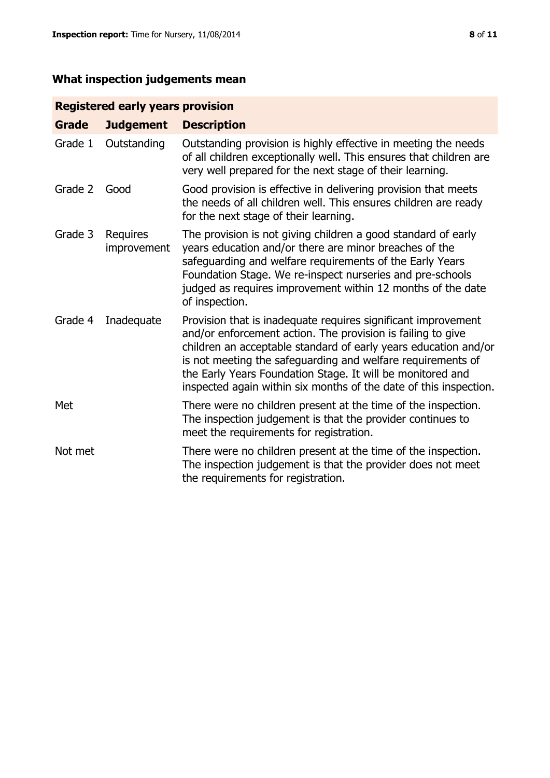# **What inspection judgements mean**

# **Registered early years provision**

| Grade   | <b>Judgement</b>        | <b>Description</b>                                                                                                                                                                                                                                                                                                                                                                                |
|---------|-------------------------|---------------------------------------------------------------------------------------------------------------------------------------------------------------------------------------------------------------------------------------------------------------------------------------------------------------------------------------------------------------------------------------------------|
| Grade 1 | Outstanding             | Outstanding provision is highly effective in meeting the needs<br>of all children exceptionally well. This ensures that children are<br>very well prepared for the next stage of their learning.                                                                                                                                                                                                  |
| Grade 2 | Good                    | Good provision is effective in delivering provision that meets<br>the needs of all children well. This ensures children are ready<br>for the next stage of their learning.                                                                                                                                                                                                                        |
| Grade 3 | Requires<br>improvement | The provision is not giving children a good standard of early<br>years education and/or there are minor breaches of the<br>safeguarding and welfare requirements of the Early Years<br>Foundation Stage. We re-inspect nurseries and pre-schools<br>judged as requires improvement within 12 months of the date<br>of inspection.                                                                 |
| Grade 4 | Inadequate              | Provision that is inadequate requires significant improvement<br>and/or enforcement action. The provision is failing to give<br>children an acceptable standard of early years education and/or<br>is not meeting the safeguarding and welfare requirements of<br>the Early Years Foundation Stage. It will be monitored and<br>inspected again within six months of the date of this inspection. |
| Met     |                         | There were no children present at the time of the inspection.<br>The inspection judgement is that the provider continues to<br>meet the requirements for registration.                                                                                                                                                                                                                            |
| Not met |                         | There were no children present at the time of the inspection.<br>The inspection judgement is that the provider does not meet<br>the requirements for registration.                                                                                                                                                                                                                                |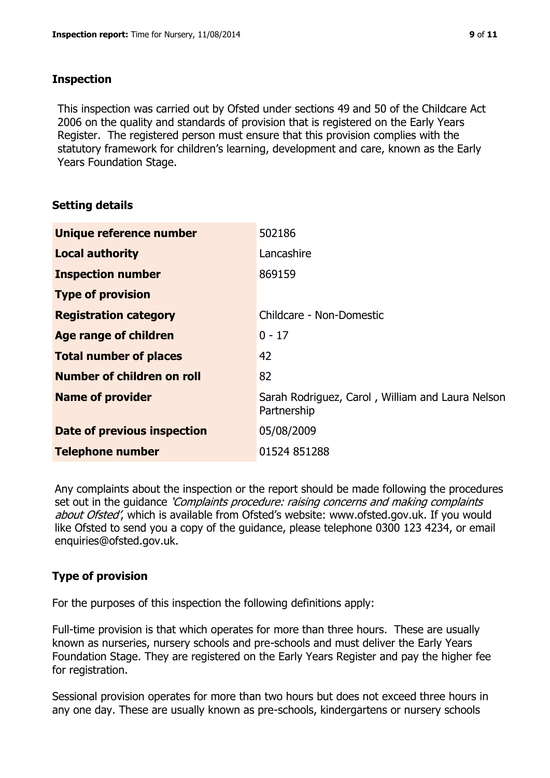## **Inspection**

This inspection was carried out by Ofsted under sections 49 and 50 of the Childcare Act 2006 on the quality and standards of provision that is registered on the Early Years Register. The registered person must ensure that this provision complies with the statutory framework for children's learning, development and care, known as the Early Years Foundation Stage.

# **Setting details**

| Unique reference number       | 502186                                                          |
|-------------------------------|-----------------------------------------------------------------|
| <b>Local authority</b>        | Lancashire                                                      |
| <b>Inspection number</b>      | 869159                                                          |
| <b>Type of provision</b>      |                                                                 |
| <b>Registration category</b>  | Childcare - Non-Domestic                                        |
| Age range of children         | $0 - 17$                                                        |
| <b>Total number of places</b> | 42                                                              |
| Number of children on roll    | 82                                                              |
| <b>Name of provider</b>       | Sarah Rodriguez, Carol, William and Laura Nelson<br>Partnership |
| Date of previous inspection   | 05/08/2009                                                      |
| <b>Telephone number</b>       | 01524 851288                                                    |

Any complaints about the inspection or the report should be made following the procedures set out in the quidance *'Complaints procedure: raising concerns and making complaints* about Ofsted', which is available from Ofsted's website: www.ofsted.gov.uk. If you would like Ofsted to send you a copy of the guidance, please telephone 0300 123 4234, or email enquiries@ofsted.gov.uk.

# **Type of provision**

For the purposes of this inspection the following definitions apply:

Full-time provision is that which operates for more than three hours. These are usually known as nurseries, nursery schools and pre-schools and must deliver the Early Years Foundation Stage. They are registered on the Early Years Register and pay the higher fee for registration.

Sessional provision operates for more than two hours but does not exceed three hours in any one day. These are usually known as pre-schools, kindergartens or nursery schools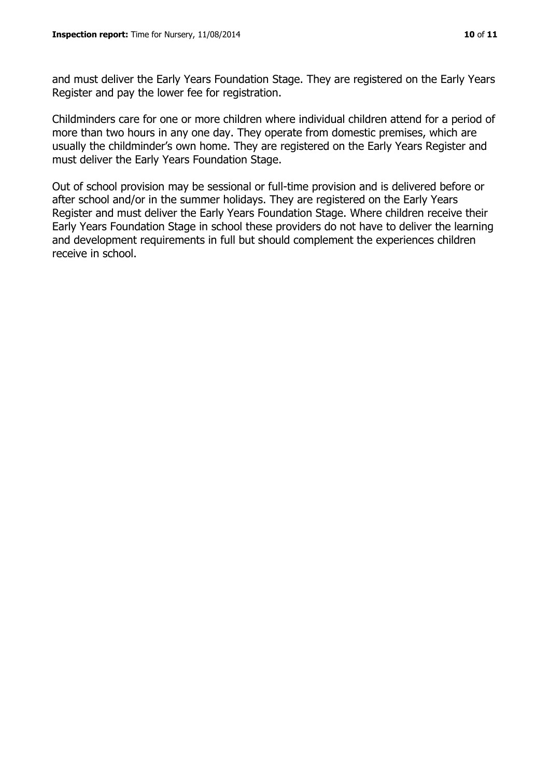and must deliver the Early Years Foundation Stage. They are registered on the Early Years Register and pay the lower fee for registration.

Childminders care for one or more children where individual children attend for a period of more than two hours in any one day. They operate from domestic premises, which are usually the childminder's own home. They are registered on the Early Years Register and must deliver the Early Years Foundation Stage.

Out of school provision may be sessional or full-time provision and is delivered before or after school and/or in the summer holidays. They are registered on the Early Years Register and must deliver the Early Years Foundation Stage. Where children receive their Early Years Foundation Stage in school these providers do not have to deliver the learning and development requirements in full but should complement the experiences children receive in school.